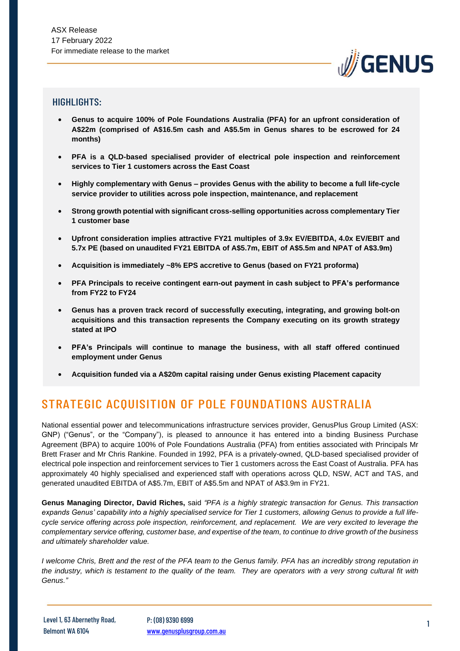

## HIGHLIGHTS:

- **Genus to acquire 100% of Pole Foundations Australia (PFA) for an upfront consideration of A\$22m (comprised of A\$16.5m cash and A\$5.5m in Genus shares to be escrowed for 24 months)**
- **PFA is a QLD-based specialised provider of electrical pole inspection and reinforcement services to Tier 1 customers across the East Coast**
- **Highly complementary with Genus – provides Genus with the ability to become a full life-cycle service provider to utilities across pole inspection, maintenance, and replacement**
- **Strong growth potential with significant cross-selling opportunities across complementary Tier 1 customer base**
- **Upfront consideration implies attractive FY21 multiples of 3.9x EV/EBITDA, 4.0x EV/EBIT and 5.7x PE (based on unaudited FY21 EBITDA of A\$5.7m, EBIT of A\$5.5m and NPAT of A\$3.9m)**
- **Acquisition is immediately ~8% EPS accretive to Genus (based on FY21 proforma)**
- **PFA Principals to receive contingent earn-out payment in cash subject to PFA's performance from FY22 to FY24**
- **Genus has a proven track record of successfully executing, integrating, and growing bolt-on acquisitions and this transaction represents the Company executing on its growth strategy stated at IPO**
- **PFA's Principals will continue to manage the business, with all staff offered continued employment under Genus**
- **Acquisition funded via a A\$20m capital raising under Genus existing Placement capacity**

# STRATEGIC ACQUISITION OF POLE FOUNDATIONS AUSTRALIA

National essential power and telecommunications infrastructure services provider, GenusPlus Group Limited (ASX: GNP) ("Genus", or the "Company"), is pleased to announce it has entered into a binding Business Purchase Agreement (BPA) to acquire 100% of Pole Foundations Australia (PFA) from entities associated with Principals Mr Brett Fraser and Mr Chris Rankine. Founded in 1992, PFA is a privately-owned, QLD-based specialised provider of electrical pole inspection and reinforcement services to Tier 1 customers across the East Coast of Australia. PFA has approximately 40 highly specialised and experienced staff with operations across QLD, NSW, ACT and TAS, and generated unaudited EBITDA of A\$5.7m, EBIT of A\$5.5m and NPAT of A\$3.9m in FY21.

**Genus Managing Director, David Riches,** said *"PFA is a highly strategic transaction for Genus. This transaction expands Genus' capability into a highly specialised service for Tier 1 customers, allowing Genus to provide a full lifecycle service offering across pole inspection, reinforcement, and replacement. We are very excited to leverage the complementary service offering, customer base, and expertise of the team, to continue to drive growth of the business and ultimately shareholder value.* 

*I welcome Chris, Brett and the rest of the PFA team to the Genus family. PFA has an incredibly strong reputation in the industry, which is testament to the quality of the team. They are operators with a very strong cultural fit with Genus."*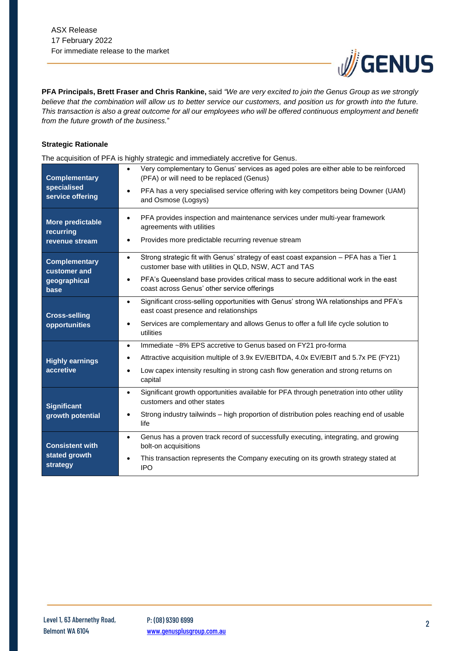

**PFA Principals, Brett Fraser and Chris Rankine,** said *"We are very excited to join the Genus Group as we strongly believe that the combination will allow us to better service our customers, and position us for growth into the future. This transaction is also a great outcome for all our employees who will be offered continuous employment and benefit from the future growth of the business.*"

#### **Strategic Rationale**

The acquisition of PFA is highly strategic and immediately accretive for Genus.

| <b>Complementary</b><br>specialised<br>service offering      | Very complementary to Genus' services as aged poles are either able to be reinforced<br>$\bullet$<br>(PFA) or will need to be replaced (Genus)<br>PFA has a very specialised service offering with key competitors being Downer (UAM)<br>$\bullet$<br>and Osmose (Logsys)                            |
|--------------------------------------------------------------|------------------------------------------------------------------------------------------------------------------------------------------------------------------------------------------------------------------------------------------------------------------------------------------------------|
| More predictable<br>recurring<br>revenue stream              | PFA provides inspection and maintenance services under multi-year framework<br>$\bullet$<br>agreements with utilities<br>Provides more predictable recurring revenue stream<br>$\bullet$                                                                                                             |
| <b>Complementary</b><br>customer and<br>geographical<br>base | Strong strategic fit with Genus' strategy of east coast expansion - PFA has a Tier 1<br>$\bullet$<br>customer base with utilities in QLD, NSW, ACT and TAS<br>PFA's Queensland base provides critical mass to secure additional work in the east<br>٠<br>coast across Genus' other service offerings |
| <b>Cross-selling</b><br>opportunities                        | Significant cross-selling opportunities with Genus' strong WA relationships and PFA's<br>$\bullet$<br>east coast presence and relationships<br>Services are complementary and allows Genus to offer a full life cycle solution to<br>٠<br>utilities                                                  |
| <b>Highly earnings</b><br>accretive                          | Immediate ~8% EPS accretive to Genus based on FY21 pro-forma<br>$\bullet$<br>Attractive acquisition multiple of 3.9x EV/EBITDA, 4.0x EV/EBIT and 5.7x PE (FY21)<br>$\bullet$<br>Low capex intensity resulting in strong cash flow generation and strong returns on<br>$\bullet$<br>capital           |
| <b>Significant</b><br>growth potential                       | Significant growth opportunities available for PFA through penetration into other utility<br>$\bullet$<br>customers and other states<br>Strong industry tailwinds - high proportion of distribution poles reaching end of usable<br>life                                                             |
| <b>Consistent with</b><br>stated growth<br>strategy          | Genus has a proven track record of successfully executing, integrating, and growing<br>$\bullet$<br>bolt-on acquisitions<br>This transaction represents the Company executing on its growth strategy stated at<br>$\bullet$<br><b>IPO</b>                                                            |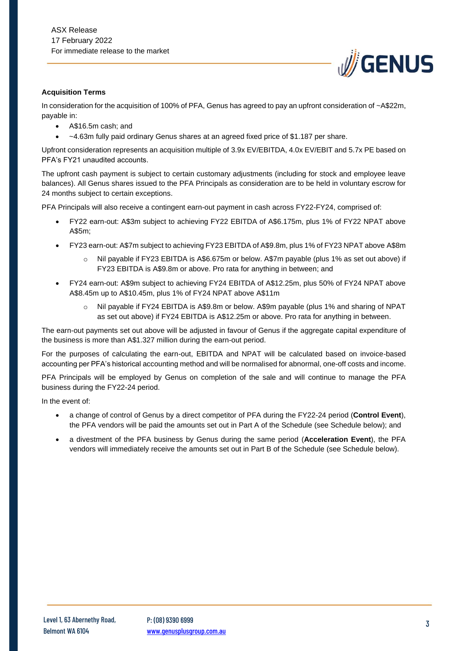

#### **Acquisition Terms**

In consideration for the acquisition of 100% of PFA, Genus has agreed to pay an upfront consideration of ~A\$22m, payable in:

- A\$16.5m cash: and
- ~4.63m fully paid ordinary Genus shares at an agreed fixed price of \$1.187 per share.

Upfront consideration represents an acquisition multiple of 3.9x EV/EBITDA, 4.0x EV/EBIT and 5.7x PE based on PFA's FY21 unaudited accounts.

The upfront cash payment is subject to certain customary adjustments (including for stock and employee leave balances). All Genus shares issued to the PFA Principals as consideration are to be held in voluntary escrow for 24 months subject to certain exceptions.

PFA Principals will also receive a contingent earn-out payment in cash across FY22-FY24, comprised of:

- FY22 earn-out: A\$3m subject to achieving FY22 EBITDA of A\$6.175m, plus 1% of FY22 NPAT above A\$5m;
- FY23 earn-out: A\$7m subject to achieving FY23 EBITDA of A\$9.8m, plus 1% of FY23 NPAT above A\$8m
	- o Nil payable if FY23 EBITDA is A\$6.675m or below. A\$7m payable (plus 1% as set out above) if FY23 EBITDA is A\$9.8m or above. Pro rata for anything in between; and
- FY24 earn-out: A\$9m subject to achieving FY24 EBITDA of A\$12.25m, plus 50% of FY24 NPAT above A\$8.45m up to A\$10.45m, plus 1% of FY24 NPAT above A\$11m
	- o Nil payable if FY24 EBITDA is A\$9.8m or below. A\$9m payable (plus 1% and sharing of NPAT as set out above) if FY24 EBITDA is A\$12.25m or above. Pro rata for anything in between.

The earn-out payments set out above will be adjusted in favour of Genus if the aggregate capital expenditure of the business is more than A\$1.327 million during the earn-out period.

For the purposes of calculating the earn-out, EBITDA and NPAT will be calculated based on invoice-based accounting per PFA's historical accounting method and will be normalised for abnormal, one-off costs and income.

PFA Principals will be employed by Genus on completion of the sale and will continue to manage the PFA business during the FY22-24 period.

In the event of:

- a change of control of Genus by a direct competitor of PFA during the FY22-24 period (**Control Event**), the PFA vendors will be paid the amounts set out in Part A of the Schedule (see Schedule below); and
- a divestment of the PFA business by Genus during the same period (**Acceleration Event**), the PFA vendors will immediately receive the amounts set out in Part B of the Schedule (see Schedule below).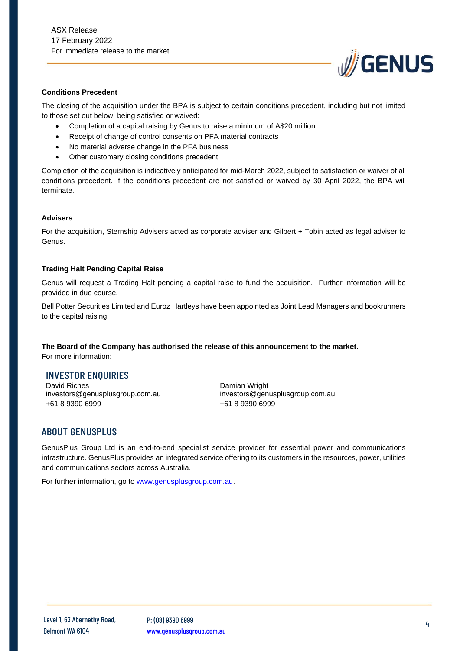

#### **Conditions Precedent**

The closing of the acquisition under the BPA is subject to certain conditions precedent, including but not limited to those set out below, being satisfied or waived:

- Completion of a capital raising by Genus to raise a minimum of A\$20 million
- Receipt of change of control consents on PFA material contracts
- No material adverse change in the PFA business
- Other customary closing conditions precedent

Completion of the acquisition is indicatively anticipated for mid-March 2022, subject to satisfaction or waiver of all conditions precedent. If the conditions precedent are not satisfied or waived by 30 April 2022, the BPA will terminate.

#### **Advisers**

For the acquisition, Sternship Advisers acted as corporate adviser and Gilbert + Tobin acted as legal adviser to Genus.

#### **Trading Halt Pending Capital Raise**

Genus will request a Trading Halt pending a capital raise to fund the acquisition. Further information will be provided in due course.

Bell Potter Securities Limited and Euroz Hartleys have been appointed as Joint Lead Managers and bookrunners to the capital raising.

**The Board of the Company has authorised the release of this announcement to the market.** For more information:

### INVESTOR ENQUIRIES

David Riches investors@genusplusgroup.com.au +61 8 9390 6999

Damian Wright investors@genusplusgroup.com.au +61 8 9390 6999

### ABOUT GENUSPLUS

GenusPlus Group Ltd is an end-to-end specialist service provider for essential power and communications infrastructure. GenusPlus provides an integrated service offering to its customers in the resources, power, utilities and communications sectors across Australia.

For further information, go to [www.genusplusgroup.com.au.](http://www.genusplusgroup.com.au/)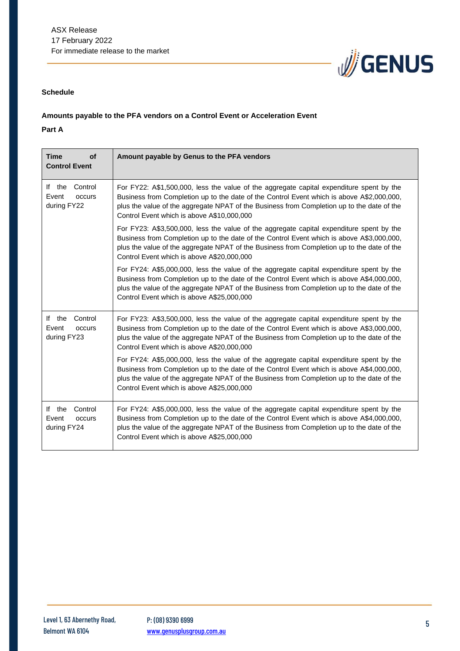

## **Schedule**

## **Amounts payable to the PFA vendors on a Control Event or Acceleration Event**

**Part A**

| <b>Time</b><br><b>of</b><br><b>Control Event</b>    | Amount payable by Genus to the PFA vendors                                                                                                                                                                                                                                                                                        |
|-----------------------------------------------------|-----------------------------------------------------------------------------------------------------------------------------------------------------------------------------------------------------------------------------------------------------------------------------------------------------------------------------------|
| If the<br>Control<br>Event<br>occurs<br>during FY22 | For FY22: A\$1,500,000, less the value of the aggregate capital expenditure spent by the<br>Business from Completion up to the date of the Control Event which is above A\$2,000,000,<br>plus the value of the aggregate NPAT of the Business from Completion up to the date of the<br>Control Event which is above A\$10,000,000 |
|                                                     | For FY23: A\$3,500,000, less the value of the aggregate capital expenditure spent by the<br>Business from Completion up to the date of the Control Event which is above A\$3,000,000,<br>plus the value of the aggregate NPAT of the Business from Completion up to the date of the<br>Control Event which is above A\$20,000,000 |
|                                                     | For FY24: A\$5,000,000, less the value of the aggregate capital expenditure spent by the<br>Business from Completion up to the date of the Control Event which is above A\$4,000,000,<br>plus the value of the aggregate NPAT of the Business from Completion up to the date of the<br>Control Event which is above A\$25,000,000 |
| If the<br>Control<br>Event<br>occurs<br>during FY23 | For FY23: A\$3,500,000, less the value of the aggregate capital expenditure spent by the<br>Business from Completion up to the date of the Control Event which is above A\$3,000,000,<br>plus the value of the aggregate NPAT of the Business from Completion up to the date of the<br>Control Event which is above A\$20,000,000 |
|                                                     | For FY24: A\$5,000,000, less the value of the aggregate capital expenditure spent by the<br>Business from Completion up to the date of the Control Event which is above A\$4,000,000,<br>plus the value of the aggregate NPAT of the Business from Completion up to the date of the<br>Control Event which is above A\$25,000,000 |
| If the<br>Control<br>Event<br>occurs<br>during FY24 | For FY24: A\$5,000,000, less the value of the aggregate capital expenditure spent by the<br>Business from Completion up to the date of the Control Event which is above A\$4,000,000,<br>plus the value of the aggregate NPAT of the Business from Completion up to the date of the<br>Control Event which is above A\$25,000,000 |